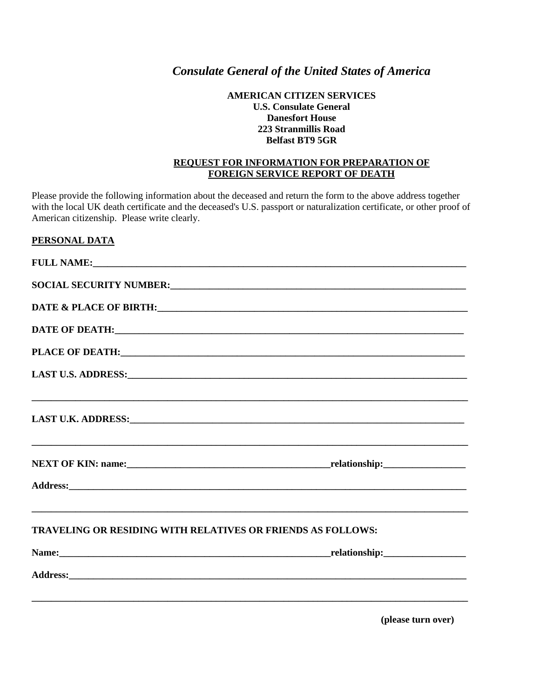# *Consulate General of the United States of America*

### **AMERICAN CITIZEN SERVICES U.S. Consulate General Danesfort House 223 Stranmillis Road Belfast BT9 5GR**

### **REQUEST FOR INFORMATION FOR PREPARATION OF FOREIGN SERVICE REPORT OF DEATH**

Please provide the following information about the deceased and return the form to the above address together with the local UK death certificate and the deceased's U.S. passport or naturalization certificate, or other proof of American citizenship. Please write clearly.

### **PERSONAL DATA**

|                                                                    | DATE & PLACE OF BIRTH: University of the Second Contract of the Second Contract of the Second Contract of the Second Contract of the Second Contract of the Second Contract of the Second Contract of the Second Contract of t |
|--------------------------------------------------------------------|--------------------------------------------------------------------------------------------------------------------------------------------------------------------------------------------------------------------------------|
|                                                                    | DATE OF DEATH: University of the contract of the contract of the contract of the contract of the contract of the contract of the contract of the contract of the contract of the contract of the contract of the contract of t |
|                                                                    |                                                                                                                                                                                                                                |
|                                                                    | LAST U.S. ADDRESS: U.S. ADDRESS:                                                                                                                                                                                               |
|                                                                    | LAST U.K. ADDRESS: U.K. ADDRESS:                                                                                                                                                                                               |
|                                                                    |                                                                                                                                                                                                                                |
|                                                                    |                                                                                                                                                                                                                                |
| <b>TRAVELING OR RESIDING WITH RELATIVES OR FRIENDS AS FOLLOWS:</b> |                                                                                                                                                                                                                                |
|                                                                    |                                                                                                                                                                                                                                |
|                                                                    |                                                                                                                                                                                                                                |
|                                                                    |                                                                                                                                                                                                                                |

**(please turn over)**